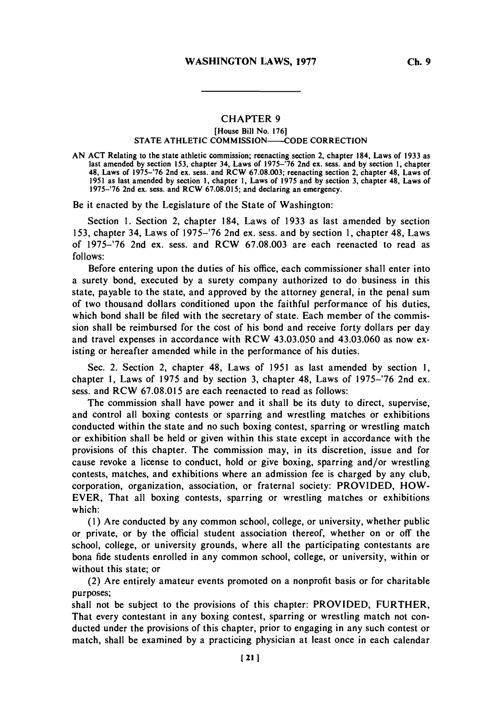## **CHAPTER 9**

## [House Bill No. **1761 STATE ATHLETIC COMMISSION-CODE CORRECTION**

**AN ACT** Relating to the state athletic commission; reenacting section 2, chapter 184, Laws of **1933** as last amended **by** section **153,** chapter 34, Laws of **1975-'76** 2nd ex. sess. and **by** section **1,** chapter 48, Laws of *1975-'76* 2nd ex. sess. and RCW **67.08.003;** reenacting section 2, chapter 48, Laws of **1951** as last amended **by** section **1,** chapter **1,** Laws of **1975** and **by** section **3,** chapter 48, Laws of **1975-'76** 2nd ex. sess. and RCW **67.08.015;** and declaring an emergency.

Be it enacted **by** the Legislature of the State of Washington:

Section **1.** Section 2, chapter 184, Laws of **1933** as last amended **by** section **153,** chapter 34, Laws of **1975-'76** 2nd ex. sess. and **by** section **1,** chapter 48, Laws of **1975-'76** 2nd ex. sess. and RCW **67.08.003** are each reenacted to read as *follows:*

Before entering upon the duties of his office, each commissioner shall enter into a surety bond, executed **by** a surety company authorized to do business in this state, payable to the state, and approved **by** the attorney general, in the penal sum of two thousand dollars conditioned upon the faithful performance of his duties, which bond shall be filed with the secretary of state. Each member of the commission shall be reimbursed for the cost of his bond and receive forty dollars per day and travel expenses in accordance with RCW 43.03.050 and 43.03.060 as now existing or hereafter amended while in the performance of his duties.

Sec. 2. Section 2, chapter 48, Laws of **1951** as last amended **by** section **1,** chapter **1,** Laws of **1975** and **by** section **3,** chapter 48, Laws of **1975-'76** 2nd ex. sess. and RCW **67.08.015** are each reenacted to read as follows:

The commission shall have power and it shall be its duty to direct, supervise, and control all boxing contests or sparring and wrestling matches or exhibitions conducted within the state and no such boxing contest, sparring or wrestling match or exhibition shall be held or given within this state except in accordance with the provisions of this chapter. The commission may, in its discretion, issue and for cause revoke a license to conduct, hold or give boxing, sparring and/or wrestling contests, matches, and exhibitions where an admission fee is charged **by** any club, corporation, organization, association, or fraternal society: PROVIDED, HOW-EVER, That all boxing contests, sparring or wrestling matches or exhibitions which:

**(1)** Are conducted **by** any common school, college, or university, whether public or private, or **by** the official student association thereof, whether on or off the school, college, or university grounds, where all the participating contestants are bona fide students enrolled in any common school, college, or university, within or without this state; or

(2) Are entirely amateur events promoted on a nonprofit basis or for charitable purposes;

shall not be subject to the provisions of this chapter: PROVIDED, FURTHER, That every contestant in any boxing contest, sparring or wrestling match not conducted under the provisions of this chapter, prior to engaging in any such contest or match, shall be examined **by** a practicing physician at least once in each calendar